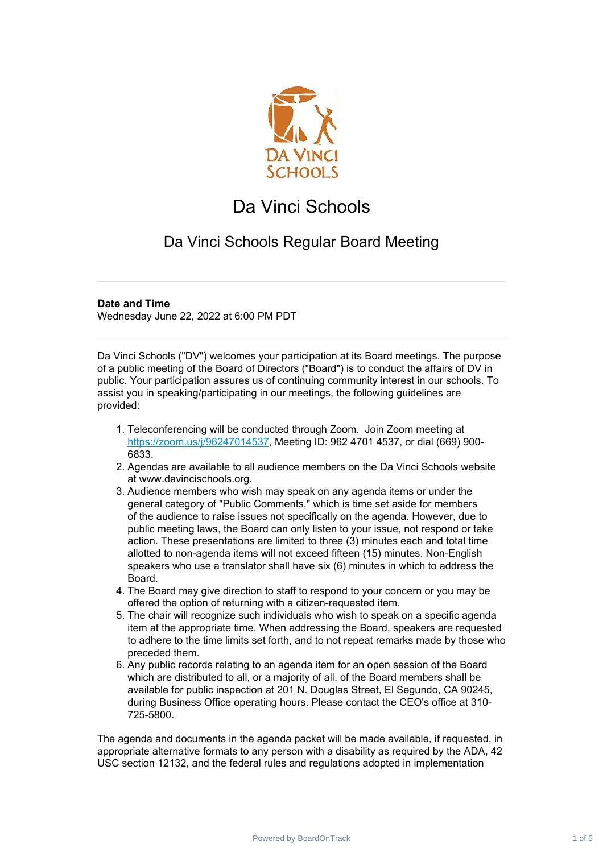

## Da Vinci Schools

## Da Vinci Schools Regular Board Meeting

## **Date and Time**

Wednesday June 22, 2022 at 6:00 PM PDT

Da Vinci Schools ("DV") welcomes your participation at its Board meetings. The purpose of a public meeting of the Board of Directors ("Board") is to conduct the affairs of DV in public. Your participation assures us of continuing community interest in our schools. To assist you in speaking/participating in our meetings, the following guidelines are provided:

- 1. Teleconferencing will be conducted through Zoom. Join Zoom meeting at [https://zoom.us/j/96247014537,](https://zoom.us/j/96247014537) Meeting ID: 962 4701 4537, or dial (669) 900- 6833.
- 2. Agendas are available to all audience members on the Da Vinci Schools website at www.davincischools.org.
- 3. Audience members who wish may speak on any agenda items or under the general category of "Public Comments," which is time set aside for members of the audience to raise issues not specifically on the agenda. However, due to public meeting laws, the Board can only listen to your issue, not respond or take action. These presentations are limited to three (3) minutes each and total time allotted to non-agenda items will not exceed fifteen (15) minutes. Non-English speakers who use a translator shall have six (6) minutes in which to address the Board.
- 4. The Board may give direction to staff to respond to your concern or you may be offered the option of returning with a citizen-requested item.
- 5. The chair will recognize such individuals who wish to speak on a specific agenda item at the appropriate time. When addressing the Board, speakers are requested to adhere to the time limits set forth, and to not repeat remarks made by those who preceded them.
- 6. Any public records relating to an agenda item for an open session of the Board which are distributed to all, or a majority of all, of the Board members shall be available for public inspection at 201 N. Douglas Street, El Segundo, CA 90245, during Business Office operating hours. Please contact the CEO's office at 310- 725-5800.

The agenda and documents in the agenda packet will be made available, if requested, in appropriate alternative formats to any person with a disability as required by the ADA, 42 USC section 12132, and the federal rules and regulations adopted in implementation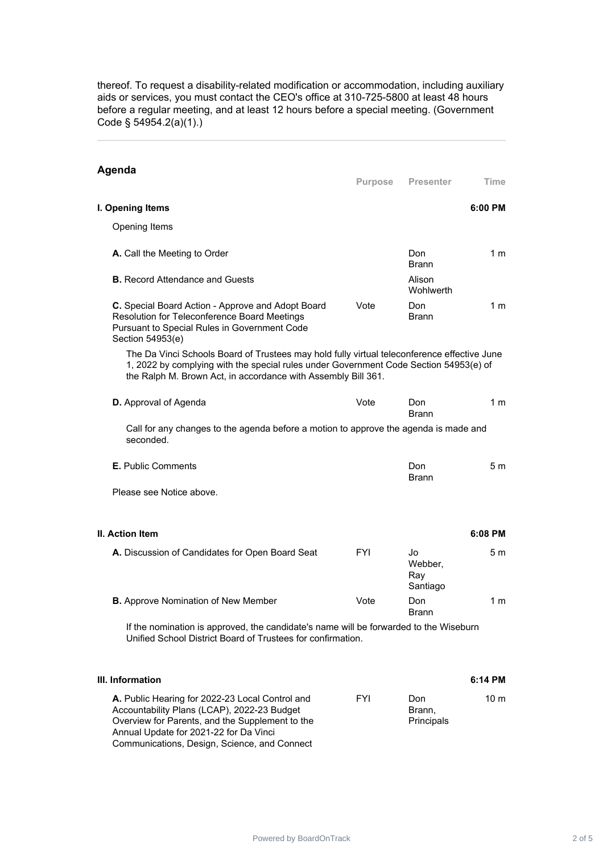thereof. To request a disability-related modification or accommodation, including auxiliary aids or services, you must contact the CEO's office at 310-725-5800 at least 48 hours before a regular meeting, and at least 12 hours before a special meeting. (Government Code § 54954.2(a)(1).)

| Agenda                                                                                                                                                                                                                                                | <b>Purpose</b> | <b>Presenter</b>                 | Time            |
|-------------------------------------------------------------------------------------------------------------------------------------------------------------------------------------------------------------------------------------------------------|----------------|----------------------------------|-----------------|
|                                                                                                                                                                                                                                                       |                |                                  |                 |
| I. Opening Items                                                                                                                                                                                                                                      |                |                                  | 6:00 PM         |
| Opening Items                                                                                                                                                                                                                                         |                |                                  |                 |
| A. Call the Meeting to Order                                                                                                                                                                                                                          |                | Don.<br><b>Brann</b>             | 1 m             |
| <b>B.</b> Record Attendance and Guests                                                                                                                                                                                                                |                | Alison<br>Wohlwerth              |                 |
| C. Special Board Action - Approve and Adopt Board<br>Resolution for Teleconference Board Meetings<br>Pursuant to Special Rules in Government Code<br>Section 54953(e)                                                                                 | Vote           | Don<br><b>Brann</b>              | 1 m             |
| The Da Vinci Schools Board of Trustees may hold fully virtual teleconference effective June<br>1, 2022 by complying with the special rules under Government Code Section 54953(e) of<br>the Ralph M. Brown Act, in accordance with Assembly Bill 361. |                |                                  |                 |
| <b>D.</b> Approval of Agenda                                                                                                                                                                                                                          | Vote           | Don<br><b>Brann</b>              | 1 m             |
| Call for any changes to the agenda before a motion to approve the agenda is made and<br>seconded.                                                                                                                                                     |                |                                  |                 |
| <b>E.</b> Public Comments                                                                                                                                                                                                                             |                | Don<br><b>Brann</b>              | 5 m             |
| Please see Notice above.                                                                                                                                                                                                                              |                |                                  |                 |
| <b>II. Action Item</b>                                                                                                                                                                                                                                |                |                                  | 6:08 PM         |
| A. Discussion of Candidates for Open Board Seat                                                                                                                                                                                                       | FYI            | Jo<br>Webber,<br>Ray<br>Santiago | 5 m             |
| <b>B.</b> Approve Nomination of New Member                                                                                                                                                                                                            | Vote           | Don<br><b>Brann</b>              | 1 m             |
| If the nomination is approved, the candidate's name will be forwarded to the Wiseburn<br>Unified School District Board of Trustees for confirmation.                                                                                                  |                |                                  |                 |
| III. Information                                                                                                                                                                                                                                      |                |                                  | 6:14 PM         |
| A. Public Hearing for 2022-23 Local Control and<br>Accountability Plans (LCAP), 2022-23 Budget                                                                                                                                                        | FYI            | Don<br>Brann,                    | 10 <sub>m</sub> |

Principals

Overview for Parents, and the Supplement to the

Communications, Design, Science, and Connect

Annual Update for 2021-22 for Da Vinci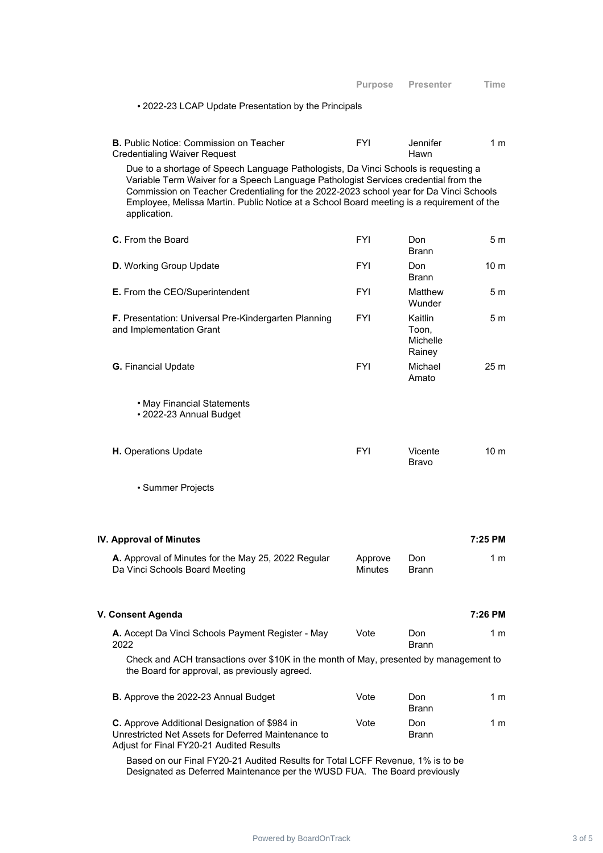|                                                                                                                                                                                                                                                                                                                                                                                   | <b>Purpose</b> | <b>Presenter</b>                       | Time            |  |
|-----------------------------------------------------------------------------------------------------------------------------------------------------------------------------------------------------------------------------------------------------------------------------------------------------------------------------------------------------------------------------------|----------------|----------------------------------------|-----------------|--|
| • 2022-23 LCAP Update Presentation by the Principals                                                                                                                                                                                                                                                                                                                              |                |                                        |                 |  |
| <b>B.</b> Public Notice: Commission on Teacher<br><b>Credentialing Waiver Request</b>                                                                                                                                                                                                                                                                                             | <b>FYI</b>     | Jennifer<br>Hawn                       | 1 <sub>m</sub>  |  |
| Due to a shortage of Speech Language Pathologists, Da Vinci Schools is requesting a<br>Variable Term Waiver for a Speech Language Pathologist Services credential from the<br>Commission on Teacher Credentialing for the 2022-2023 school year for Da Vinci Schools<br>Employee, Melissa Martin. Public Notice at a School Board meeting is a requirement of the<br>application. |                |                                        |                 |  |
| <b>C.</b> From the Board                                                                                                                                                                                                                                                                                                                                                          | <b>FYI</b>     | Don<br><b>Brann</b>                    | 5 m             |  |
| <b>D.</b> Working Group Update                                                                                                                                                                                                                                                                                                                                                    | <b>FYI</b>     | Don<br>Brann                           | 10 m            |  |
| E. From the CEO/Superintendent                                                                                                                                                                                                                                                                                                                                                    | <b>FYI</b>     | Matthew<br>Wunder                      | 5 m             |  |
| F. Presentation: Universal Pre-Kindergarten Planning<br>and Implementation Grant                                                                                                                                                                                                                                                                                                  | <b>FYI</b>     | Kaitlin<br>Toon,<br>Michelle<br>Rainey | 5 m             |  |
| <b>G.</b> Financial Update                                                                                                                                                                                                                                                                                                                                                        | <b>FYI</b>     | Michael<br>Amato                       | 25 <sub>m</sub> |  |
| • May Financial Statements<br>• 2022-23 Annual Budget                                                                                                                                                                                                                                                                                                                             |                |                                        |                 |  |
| H. Operations Update                                                                                                                                                                                                                                                                                                                                                              | <b>FYI</b>     | Vicente<br><b>Bravo</b>                | 10 <sub>m</sub> |  |
| • Summer Projects                                                                                                                                                                                                                                                                                                                                                                 |                |                                        |                 |  |
| <b>IV. Approval of Minutes</b>                                                                                                                                                                                                                                                                                                                                                    |                |                                        | 7:25 PM         |  |
| A. Approval of Minutes for the May 25, 2022 Regular                                                                                                                                                                                                                                                                                                                               | Approve        | Don                                    | 1 m             |  |
| Da Vinci Schools Board Meeting                                                                                                                                                                                                                                                                                                                                                    | <b>Minutes</b> | <b>Brann</b>                           |                 |  |
| V. Consent Agenda                                                                                                                                                                                                                                                                                                                                                                 |                |                                        | 7:26 PM         |  |
| A. Accept Da Vinci Schools Payment Register - May<br>2022                                                                                                                                                                                                                                                                                                                         | Vote           | Don<br>Brann                           | 1 m             |  |
| Check and ACH transactions over \$10K in the month of May, presented by management to<br>the Board for approval, as previously agreed.                                                                                                                                                                                                                                            |                |                                        |                 |  |
| B. Approve the 2022-23 Annual Budget                                                                                                                                                                                                                                                                                                                                              | Vote           | Don<br><b>Brann</b>                    | 1 m             |  |
| C. Approve Additional Designation of \$984 in<br>Unrestricted Net Assets for Deferred Maintenance to<br>Adjust for Final FY20-21 Audited Results                                                                                                                                                                                                                                  | Vote           | Don<br>Brann                           | 1 m             |  |
|                                                                                                                                                                                                                                                                                                                                                                                   |                |                                        |                 |  |

Based on our Final FY20-21 Audited Results for Total LCFF Revenue, 1% is to be Designated as Deferred Maintenance per the WUSD FUA. The Board previously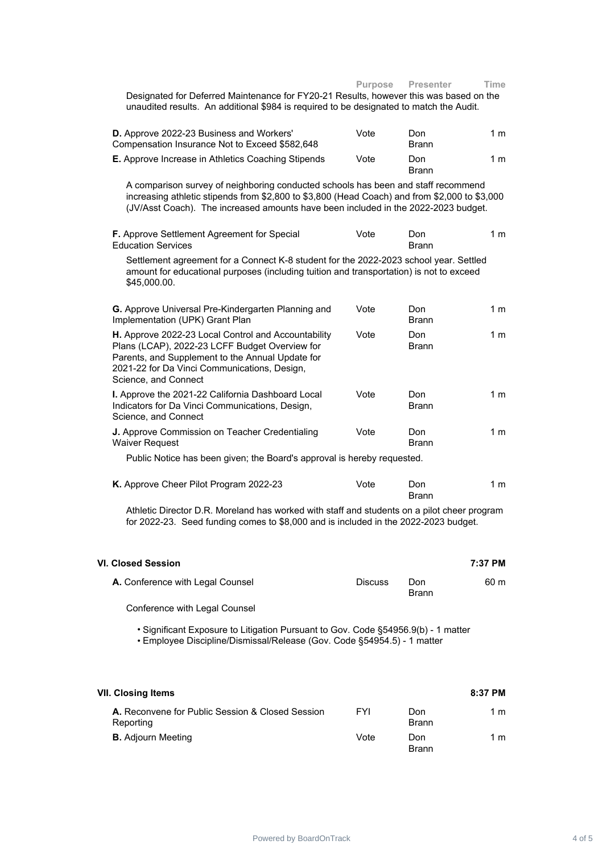| Designated for Deferred Maintenance for FY20-21 Results, however this was based on the<br>unaudited results. An additional \$984 is required to be designated to match the Audit.                                                                                        | Purpose        | <b>Presenter</b>    | Time           |
|--------------------------------------------------------------------------------------------------------------------------------------------------------------------------------------------------------------------------------------------------------------------------|----------------|---------------------|----------------|
| D. Approve 2022-23 Business and Workers'<br>Compensation Insurance Not to Exceed \$582,648                                                                                                                                                                               | Vote           | Don<br><b>Brann</b> | 1 m            |
| E. Approve Increase in Athletics Coaching Stipends                                                                                                                                                                                                                       | Vote           | Don<br><b>Brann</b> | 1 <sub>m</sub> |
| A comparison survey of neighboring conducted schools has been and staff recommend<br>increasing athletic stipends from \$2,800 to \$3,800 (Head Coach) and from \$2,000 to \$3,000<br>(JV/Asst Coach). The increased amounts have been included in the 2022-2023 budget. |                |                     |                |
| F. Approve Settlement Agreement for Special<br><b>Education Services</b>                                                                                                                                                                                                 | Vote           | Don<br><b>Brann</b> | 1 m            |
| Settlement agreement for a Connect K-8 student for the 2022-2023 school year. Settled<br>amount for educational purposes (including tuition and transportation) is not to exceed<br>\$45,000.00.                                                                         |                |                     |                |
| G. Approve Universal Pre-Kindergarten Planning and<br>Implementation (UPK) Grant Plan                                                                                                                                                                                    | Vote           | Don<br><b>Brann</b> | 1 <sub>m</sub> |
| H. Approve 2022-23 Local Control and Accountability<br>Plans (LCAP), 2022-23 LCFF Budget Overview for<br>Parents, and Supplement to the Annual Update for<br>2021-22 for Da Vinci Communications, Design,<br>Science, and Connect                                        | Vote           | Don<br><b>Brann</b> | 1 m            |
| I. Approve the 2021-22 California Dashboard Local<br>Indicators for Da Vinci Communications, Design,<br>Science, and Connect                                                                                                                                             | Vote           | Don<br><b>Brann</b> | 1 m            |
| J. Approve Commission on Teacher Credentialing<br><b>Waiver Request</b>                                                                                                                                                                                                  | Vote           | Don<br><b>Brann</b> | 1 m            |
| Public Notice has been given; the Board's approval is hereby requested.                                                                                                                                                                                                  |                |                     |                |
| K. Approve Cheer Pilot Program 2022-23                                                                                                                                                                                                                                   | Vote           | Don<br><b>Brann</b> | 1 <sub>m</sub> |
| Athletic Director D.R. Moreland has worked with staff and students on a pilot cheer program<br>for 2022-23. Seed funding comes to \$8,000 and is included in the 2022-2023 budget.                                                                                       |                |                     |                |
| VI. Closed Session                                                                                                                                                                                                                                                       |                |                     | 7:37 PM        |
| A. Conference with Legal Counsel                                                                                                                                                                                                                                         | <b>Discuss</b> | Don<br>Brann        | 60 m           |

Conference with Legal Counsel

• Significant Exposure to Litigation Pursuant to Gov. Code §54956.9(b) - 1 matter • Employee Discipline/Dismissal/Release (Gov. Code §54954.5) - 1 matter

| VII. Closing Items                                            |            |                     | 8:37 PM |
|---------------------------------------------------------------|------------|---------------------|---------|
| A. Reconvene for Public Session & Closed Session<br>Reporting | <b>FYI</b> | Don<br><b>Brann</b> | 1 m     |
| <b>B.</b> Adjourn Meeting                                     | Vote       | Don<br><b>Brann</b> | 1 m     |